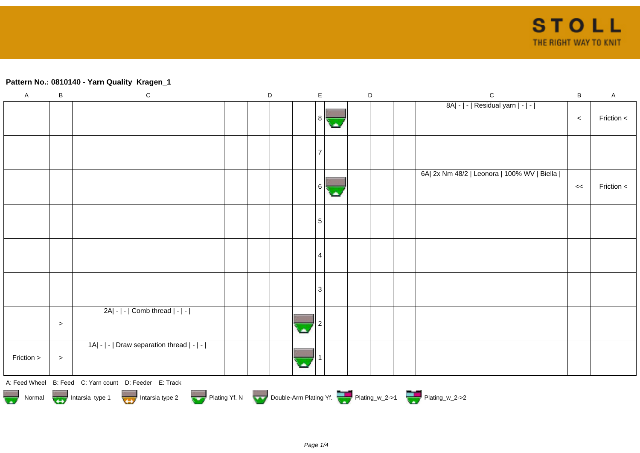## **Pattern No.: 0810140 - Yarn Quality Kragen\_1**

| $\sf A$    | $\sf B$                                                                                                                                          | ${\bf C}$                                  |  | D |  | $\mathsf E$ |  |  | $\mathsf D$ |  | $\mathbf C$                                 | $\sf B$ | $\mathsf A$ |
|------------|--------------------------------------------------------------------------------------------------------------------------------------------------|--------------------------------------------|--|---|--|-------------|--|--|-------------|--|---------------------------------------------|---------|-------------|
|            |                                                                                                                                                  |                                            |  |   |  | 8           |  |  |             |  | 8A  -   -   Residual yarn   -   -           | $\,<$   | Friction <  |
|            |                                                                                                                                                  |                                            |  |   |  |             |  |  |             |  |                                             |         |             |
|            |                                                                                                                                                  |                                            |  |   |  | 6           |  |  |             |  | 6A  2x Nm 48/2   Leonora   100% WV   Biella | $\,<$   | Friction <  |
|            |                                                                                                                                                  |                                            |  |   |  | 5           |  |  |             |  |                                             |         |             |
|            |                                                                                                                                                  |                                            |  |   |  | 4           |  |  |             |  |                                             |         |             |
|            |                                                                                                                                                  |                                            |  |   |  | 3           |  |  |             |  |                                             |         |             |
|            | $\,>$                                                                                                                                            | $2A - - $ Comb thread $ - - $              |  |   |  |             |  |  |             |  |                                             |         |             |
| Friction > | $\, >$                                                                                                                                           | 1A  -   -   Draw separation thread   -   - |  |   |  |             |  |  |             |  |                                             |         |             |
|            | A: Feed Wheel B: Feed C: Yarn count D: Feeder E: Track<br>Normal <b>Double-Arm Plating Yf. N</b> Double-Arm Plating Yf. N Double-Arm Plating Yf. |                                            |  |   |  |             |  |  |             |  |                                             |         |             |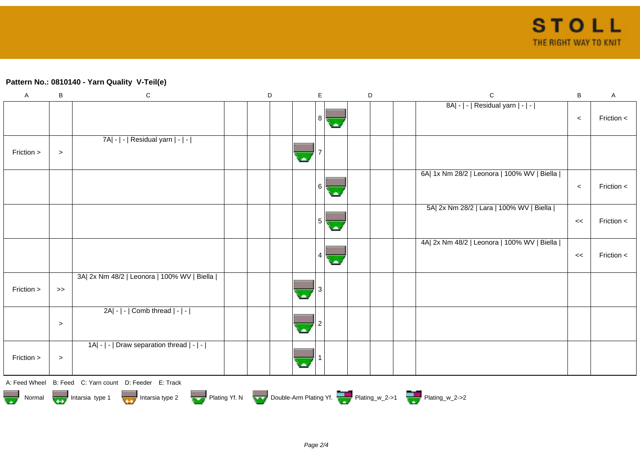## **Pattern No.: 0810140 - Yarn Quality V-Teil(e)**

| $\mathsf A$ | B                                                                                | $\mathsf C$                                            |  | D |  | E    | D |  |  | $\mathbf C$                                 | B     | A          |
|-------------|----------------------------------------------------------------------------------|--------------------------------------------------------|--|---|--|------|---|--|--|---------------------------------------------|-------|------------|
|             |                                                                                  |                                                        |  |   |  | -8 I |   |  |  | 8A  -   -   Residual yarn   -   -           | $\,<$ | Friction < |
| Friction >  | $\, >$                                                                           | 7A  -   -   Residual yarn   -   -                      |  |   |  |      |   |  |  |                                             |       |            |
|             |                                                                                  |                                                        |  |   |  | 6 I  |   |  |  | 6A  1x Nm 28/2   Leonora   100% WV   Biella | $\,<$ | Friction < |
|             |                                                                                  |                                                        |  |   |  | 5 I  |   |  |  | 5A  2x Nm 28/2   Lara   100% WV   Biella    | <<    | Friction < |
|             |                                                                                  |                                                        |  |   |  |      |   |  |  | 4A  2x Nm 48/2   Leonora   100% WV   Biella | $\,<$ | Friction < |
| Friction >  | $\gt$                                                                            | 3A  2x Nm 48/2   Leonora   100% WV   Biella            |  |   |  |      |   |  |  |                                             |       |            |
|             | $\,>$                                                                            | 2A  -   -   Comb thread   -   -                        |  |   |  |      |   |  |  |                                             |       |            |
| Friction >  | $\,>$                                                                            | 1A  -   -   Draw separation thread   -   -             |  |   |  |      |   |  |  |                                             |       |            |
|             |                                                                                  | A: Feed Wheel B: Feed C: Yarn count D: Feeder E: Track |  |   |  |      |   |  |  |                                             |       |            |
|             | Normal Montain Strategy Intarsia type 2 but Plating Yf. N Double-Arm Plating Yf. |                                                        |  |   |  |      |   |  |  |                                             |       |            |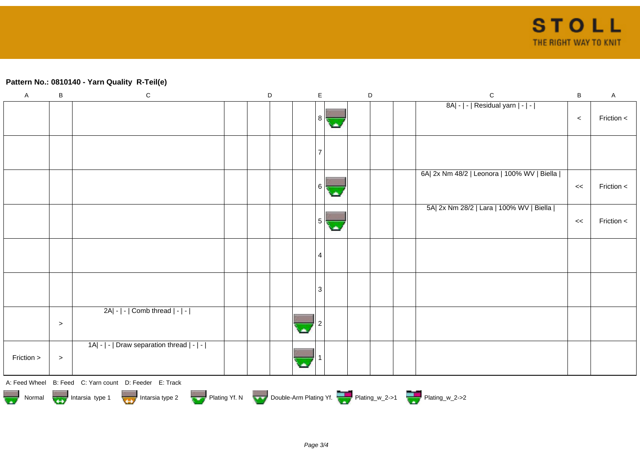## **Pattern No.: 0810140 - Yarn Quality R-Teil(e)**

| $\boldsymbol{\mathsf{A}}$ | B                                                                                      | ${\bf C}$                                              |  | $\mathsf D$ |  | $\mathsf E$ |  | $\mathsf D$ |  |  | $\mathsf{C}$                                | $\, {\bf B}$ | $\mathsf A$ |
|---------------------------|----------------------------------------------------------------------------------------|--------------------------------------------------------|--|-------------|--|-------------|--|-------------|--|--|---------------------------------------------|--------------|-------------|
|                           |                                                                                        |                                                        |  |             |  |             |  |             |  |  | 8A  -   -   Residual yarn   -   -           | $\,<$        | Friction <  |
|                           |                                                                                        |                                                        |  |             |  |             |  |             |  |  |                                             |              |             |
|                           |                                                                                        |                                                        |  |             |  | 6           |  |             |  |  | 6A  2x Nm 48/2   Leonora   100% WV   Biella | <<           | Friction <  |
|                           |                                                                                        |                                                        |  |             |  |             |  |             |  |  | 5A  2x Nm 28/2   Lara   100% WV   Biella    | <<           | Friction <  |
|                           |                                                                                        |                                                        |  |             |  | 4           |  |             |  |  |                                             |              |             |
|                           |                                                                                        |                                                        |  |             |  | 3           |  |             |  |  |                                             |              |             |
|                           | $\,>$                                                                                  | $2A - - $ Comb thread $ - - $                          |  |             |  |             |  |             |  |  |                                             |              |             |
| Friction >                | $\geq$                                                                                 | 1A  -   -   Draw separation thread   -   -             |  |             |  |             |  |             |  |  |                                             |              |             |
|                           |                                                                                        | A: Feed Wheel B: Feed C: Yarn count D: Feeder E: Track |  |             |  |             |  |             |  |  |                                             |              |             |
|                           | Normal <b>Double-Arm Plating Yf. N</b> Double-Arm Plating Yf. N Double-Arm Plating Yf. |                                                        |  |             |  |             |  |             |  |  |                                             |              |             |